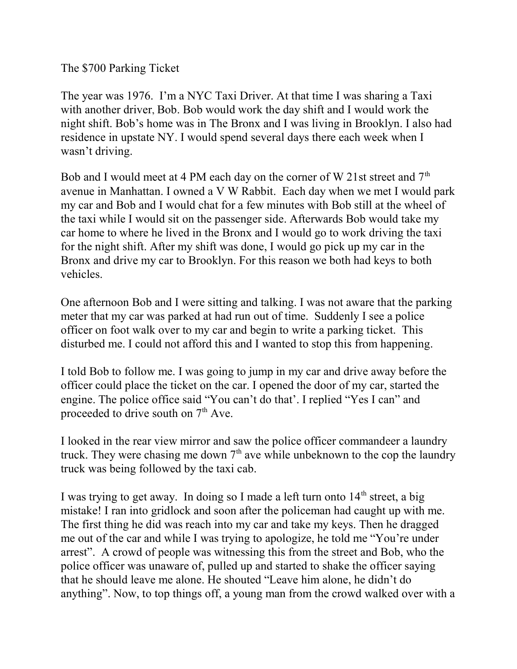The \$700 Parking Ticket

The year was 1976. I'm a NYC Taxi Driver. At that time I was sharing a Taxi with another driver, Bob. Bob would work the day shift and I would work the night shift. Bob's home was in The Bronx and I was living in Brooklyn. I also had residence in upstate NY. I would spend several days there each week when I wasn't driving.

Bob and I would meet at 4 PM each day on the corner of W 21st street and  $7<sup>th</sup>$ avenue in Manhattan. I owned a V W Rabbit. Each day when we met I would park my car and Bob and I would chat for a few minutes with Bob still at the wheel of the taxi while I would sit on the passenger side. Afterwards Bob would take my car home to where he lived in the Bronx and I would go to work driving the taxi for the night shift. After my shift was done, I would go pick up my car in the Bronx and drive my car to Brooklyn. For this reason we both had keys to both vehicles.

One afternoon Bob and I were sitting and talking. I was not aware that the parking meter that my car was parked at had run out of time. Suddenly I see a police officer on foot walk over to my car and begin to write a parking ticket. This disturbed me. I could not afford this and I wanted to stop this from happening.

I told Bob to follow me. I was going to jump in my car and drive away before the officer could place the ticket on the car. I opened the door of my car, started the engine. The police office said "You can't do that'. I replied "Yes I can" and proceeded to drive south on  $7<sup>th</sup>$  Ave.

I looked in the rear view mirror and saw the police officer commandeer a laundry truck. They were chasing me down  $7<sup>th</sup>$  ave while unbeknown to the cop the laundry truck was being followed by the taxi cab.

I was trying to get away. In doing so I made a left turn onto  $14<sup>th</sup>$  street, a big mistake! I ran into gridlock and soon after the policeman had caught up with me. The first thing he did was reach into my car and take my keys. Then he dragged me out of the car and while I was trying to apologize, he told me "You're under arrest". A crowd of people was witnessing this from the street and Bob, who the police officer was unaware of, pulled up and started to shake the officer saying that he should leave me alone. He shouted "Leave him alone, he didn't do anything". Now, to top things off, a young man from the crowd walked over with a